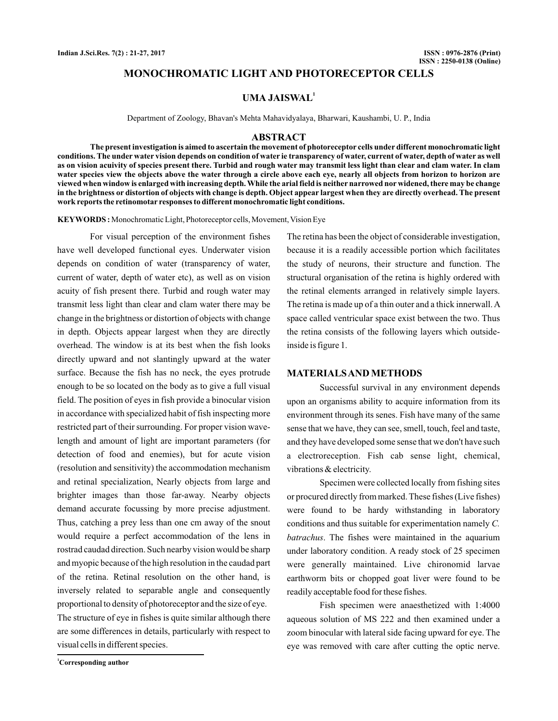# **MONOCHROMATIC LIGHT AND PHOTORECEPTOR CELLS**

# **UMA JAISWAL<sup>1</sup>**

Department of Zoology, Bhavan's Mehta Mahavidyalaya, Bharwari, Kaushambi, U. P., India

#### **ABSTRACT**

**The present investigation is aimed to ascertain the movement of photoreceptor cells under different monochromatic light conditions. The under water vision depends on condition of water ie transparency of water, current of water, depth of water as well as on vision acuivity of species present there. Turbid and rough water may transmit less light than clear and clam water. In clam water species view the objects above the water through a circle above each eye, nearly all objects from horizon to horizon are viewed when window is enlarged with increasing depth. While the arial field is neither narrowed nor widened, there may be change in the brightness or distortion of objects with change is depth. Object appear largest when they are directly overhead. The present work reports the retinomotar responses to different monochromatic light conditions.**

KEYWORDS: Monochromatic Light, Photoreceptor cells, Movement, Vision Eye

For visual perception of the environment fishes have well developed functional eyes. Underwater vision depends on condition of water (transparency of water, current of water, depth of water etc), as well as on vision acuity of fish present there. Turbid and rough water may transmit less light than clear and clam water there may be change in the brightness or distortion of objects with change in depth. Objects appear largest when they are directly overhead. The window is at its best when the fish looks directly upward and not slantingly upward at the water surface. Because the fish has no neck, the eyes protrude enough to be so located on the body as to give a full visual field. The position of eyes in fish provide a binocular vision in accordance with specialized habit of fish inspecting more restricted part of their surrounding. For proper vision wavelength and amount of light are important parameters (for detection of food and enemies), but for acute vision (resolution and sensitivity) the accommodation mechanism and retinal specialization, Nearly objects from large and brighter images than those far-away. Nearby objects demand accurate focussing by more precise adjustment. Thus, catching a prey less than one cm away of the snout would require a perfect accommodation of the lens in rostrad caudad direction. Such nearby vision would be sharp and myopic because of the high resolution in the caudad part of the retina. Retinal resolution on the other hand, is inversely related to separable angle and consequently proportional to density of photoreceptor and the size of eye. The structure of eye in fishes is quite similar although there are some differences in details, particularly with respect to

The retina has been the object of considerable investigation, because it is a readily accessible portion which facilitates the study of neurons, their structure and function. The structural organisation of the retina is highly ordered with the retinal elements arranged in relatively simple layers. The retina is made up of a thin outer and a thick innerwall.A space called ventricular space exist between the two. Thus the retina consists of the following layers which outsideinside is figure 1.

## **MATERIALSAND METHODS**

Successful survival in any environment depends upon an organisms ability to acquire information from its environment through its senes. Fish have many of the same sense that we have, they can see, smell, touch, feel and taste, and they have developed some sense that we don't have such a electroreception. Fish cab sense light, chemical, vibrations & electricity.

Specimen were collected locally from fishing sites or procured directly from marked. These fishes (Live fishes) were found to be hardy withstanding in laboratory conditions and thus suitable for experimentation namely *C.* . The fishes were maintained in the aquarium *batrachus* under laboratory condition. A ready stock of 25 specimen were generally maintained. Live chironomid larvae earthworm bits or chopped goat liver were found to be readily acceptable food for these fishes.

Fish specimen were anaesthetized with 1:4000 aqueous solution of MS 222 and then examined under a zoom binocular with lateral side facing upward for eye. The eye was removed with care after cutting the optic nerve.

**<sup>1</sup>Corresponding author**

visual cells in different species.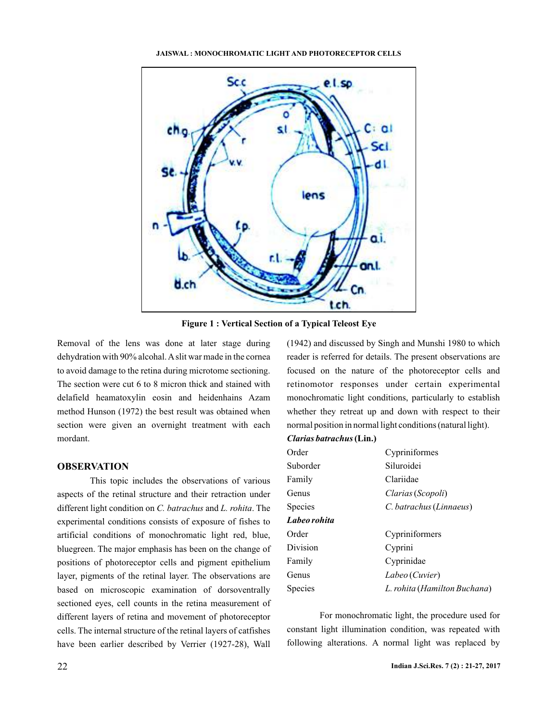#### **JAISWAL : MONOCHROMATIC LIGHT AND PHOTORECEPTOR CELLS**



**Figure 1 : Vertical Section of a Typical Teleost Eye**

Removal of the lens was done at later stage during dehydration with 90% alcohal.Aslit war made in the cornea to avoid damage to the retina during microtome sectioning. The section were cut 6 to 8 micron thick and stained with delafield heamatoxylin eosin and heidenhains Azam method Hunson (1972) the best result was obtained when section were given an overnight treatment with each mordant.

# **OBSERVATION**

This topic includes the observations of various aspects of the retinal structure and their retraction under different light condition on C. batrachus and L. rohita. The experimental conditions consists of exposure of fishes to artificial conditions of monochromatic light red, blue, bluegreen. The major emphasis has been on the change of positions of photoreceptor cells and pigment epithelium layer, pigments of the retinal layer. The observations are based on microscopic examination of dorsoventrally sectioned eyes, cell counts in the retina measurement of different layers of retina and movement of photoreceptor cells. The internal structure of the retinal layers of catfishes have been earlier described by Verrier (1927-28), Wall

(1942) and discussed by Singh and Munshi 1980 to which reader is referred for details. The present observations are focused on the nature of the photoreceptor cells and retinomotor responses under certain experimental monochromatic light conditions, particularly to establish whether they retreat up and down with respect to their normal position in normal light conditions (natural light).

# *Clarias batrachus* **(Lin.)**

| Order          | Cypriniformes                |  |
|----------------|------------------------------|--|
| Suborder       | Siluroidei                   |  |
| Family         | Clariidae                    |  |
| Genus          | Clarias (Scopoli)            |  |
| <b>Species</b> | C. batrachus (Linnaeus)      |  |
| Labeo rohita   |                              |  |
| Order          | Cypriniformers               |  |
| Division       | Cyprini                      |  |
| Family         | Cyprinidae                   |  |
| Genus          | Labeo (Cuvier)               |  |
| Species        | L. rohita (Hamilton Buchana) |  |

For monochromatic light, the procedure used for constant light illumination condition, was repeated with following alterations. A normal light was replaced by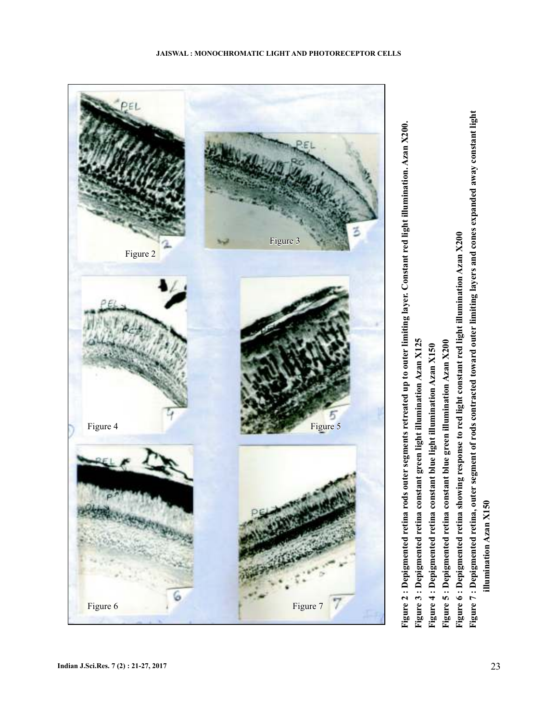

Figure 3 : Depigmented retina constant green light illumination Azan X125

- **Figure 3 : Depigmented retina constant green light illumination Azan X125**
	- Figure 4 : Depigmented retina constant blue light illumination Azan X150 **Figure 4 : Depigmented retina constant blue light illumination Azan X150**
- Figure 5 : Depigmented retina constant blue green illumination Azan X200 **Figure 5 : Depigmented retina constant blue green illumination Azan X200**
- Figure 6: Depigmented retina showing response to red light constant red light illumination Azan X200 **Figure 6 : Depigmented retina showing response to red light constant red light illumination Azan X200**
- Figure 7: Depigmented retina, outer segment of rods contracted toward outer limiting layers and cones expanded away constant light **Figure 7 : Depigmented retina, outer segment of rods contracted toward outer limiting layers and cones expanded away constant light** illumination Azan X150 **illumination Azan X150**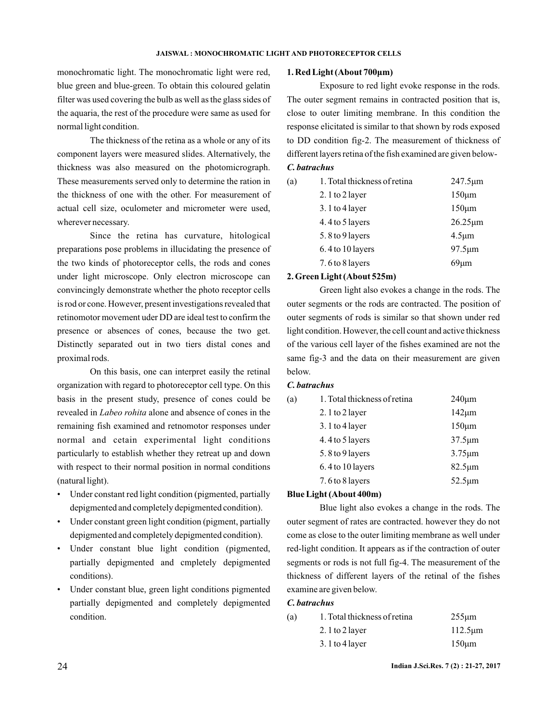monochromatic light. The monochromatic light were red, blue green and blue-green. To obtain this coloured gelatin filter was used covering the bulb as well as the glass sides of the aquaria, the rest of the procedure were same as used for normal light condition.

The thickness of the retina as a whole or any of its component layers were measured slides. Alternatively, the thickness was also measured on the photomicrograph. These measurements served only to determine the ration in the thickness of one with the other. For measurement of actual cell size, oculometer and micrometer were used, wherever necessary.

Since the retina has curvature, hitological preparations pose problems in illucidating the presence of the two kinds of photoreceptor cells, the rods and cones under light microscope. Only electron microscope can convincingly demonstrate whether the photo receptor cells is rod or cone. However, present investigations revealed that retinomotor movement uder DD are ideal test to confirm the presence or absences of cones, because the two get. Distinctly separated out in two tiers distal cones and proximal rods.

On this basis, one can interpret easily the retinal organization with regard to photoreceptor cell type. On this basis in the present study, presence of cones could be revealed in *Labeo rohita* alone and absence of cones in the remaining fish examined and retnomotor responses under normal and cetain experimental light conditions particularly to establish whether they retreat up and down with respect to their normal position in normal conditions (natural light).

- Under constant red light condition (pigmented, partially depigmented and completely depigmented condition).
- Under constant green light condition (pigment, partially depigmented and completely depigmented condition).
- Under constant blue light condition (pigmented, partially depigmented and cmpletely depigmented conditions).
- Under constant blue, green light conditions pigmented partially depigmented and completely depigmented condition.

#### **1. Red Light (About 700μm)**

Exposure to red light evoke response in the rods. The outer segment remains in contracted position that is, close to outer limiting membrane. In this condition the response elicitated is similar to that shown by rods exposed to DD condition fig-2. The measurement of thickness of different layers retina of the fish examined are given below-

# *C. batrachus*

| (a) | 1. Total thickness of retina | $247.5 \mu m$ |
|-----|------------------------------|---------------|
|     | 2.1 to 2 layer               | $150 \mu m$   |
|     | 3.1 to 4 layer               | $150 \mu m$   |
|     | 4.4 to 5 layers              | $26.25 \mu m$ |
|     | 5.8 to 9 layers              | $4.5 \mu m$   |
|     | 6.4 to 10 layers             | $97.5 \mu m$  |
|     | 7.6 to 8 layers              | $69 \mu m$    |

#### **2. Green Light (About 525m)**

Green light also evokes a change in the rods. The outer segments or the rods are contracted. The position of outer segments of rods is similar so that shown under red light condition. However, the cell count and active thickness of the various cell layer of the fishes examined are not the same fig-3 and the data on their measurement are given below.

# *C. batrachus*

| (a) | 1. Total thickness of retina | $240 \mu m$  |
|-----|------------------------------|--------------|
|     | 2.1 to 2 layer               | $142 \mu m$  |
|     | 3.1 to 4 layer               | $150 \mu m$  |
|     | 4.4 to 5 layers              | $37.5 \mu m$ |
|     | 5.8 to 9 layers              | $3.75 \mu m$ |
|     | 6.4 to 10 layers             | $82.5 \mu m$ |
|     | 7.6 to 8 layers              | $52.5 \mu m$ |
|     | DL. . I S. LA / A L 400  )   |              |

#### **Blue Light (About 400m)**

Blue light also evokes a change in the rods. The outer segment of rates are contracted. however they do not come as close to the outer limiting membrane as well under red-light condition. It appears as if the contraction of outer segments or rods is not full fig-4. The measurement of the thickness of different layers of the retinal of the fishes examine are given below.

#### *C. batrachus*

| (a) | 1. Total thickness of retina | $255 \mu m$   |
|-----|------------------------------|---------------|
|     | 2. $1$ to $2$ layer          | $112.5 \mu m$ |
|     | $3.1$ to 4 layer             | $150 \mu m$   |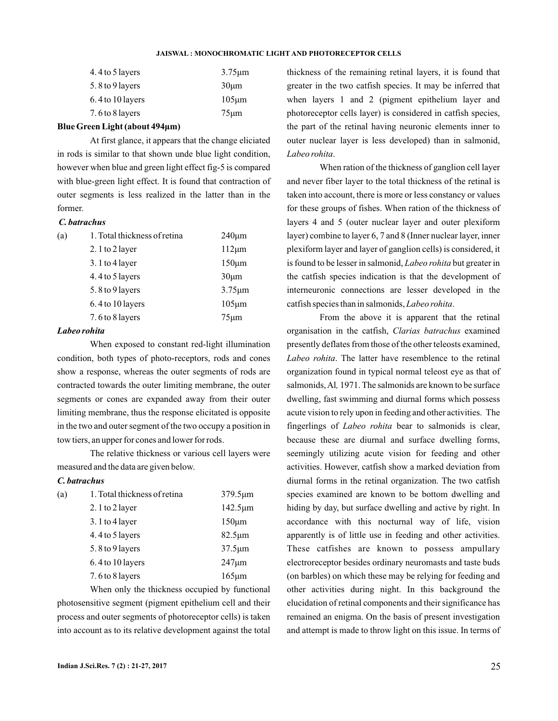#### **JAISWAL : MONOCHROMATIC LIGHT AND PHOTORECEPTOR CELLS**

| 4.4 to 5 layers    | $3.75 \mu m$ |
|--------------------|--------------|
| 5.8 to 9 layers    | $30 \mu m$   |
| $6.4$ to 10 layers | $105 \mu m$  |
| 7.6 to 8 layers    | $75 \mu m$   |

## **Blue Green Light (about 494 m) μ**

At first glance, it appears that the change eliciated in rods is similar to that shown unde blue light condition, however when blue and green light effect fig-5 is compared with blue-green light effect. It is found that contraction of outer segments is less realized in the latter than in the former.

## *C. batrachus*

| (a) | 1. Total thickness of retina | $240 \mu m$  |
|-----|------------------------------|--------------|
|     | 2. 1 to 2 layer              | $112 \mu m$  |
|     | $3.1$ to 4 layer             | $150 \mu m$  |
|     | 4.4 to 5 layers              | $30 \mu m$   |
|     | 5.8 to 9 layers              | $3.75 \mu m$ |
|     | 6.4 to 10 layers             | $105 \mu m$  |
|     | 7.6 to 8 layers              | $75 \mu m$   |

### *Labeo rohita*

When exposed to constant red-light illumination condition, both types of photo-receptors, rods and cones show a response, whereas the outer segments of rods are contracted towards the outer limiting membrane, the outer segments or cones are expanded away from their outer limiting membrane, thus the response elicitated is opposite in the two and outer segment of the two occupy a position in tow tiers, an upper for cones and lower for rods.

The relative thickness or various cell layers were measured and the data are given below.

# *C. batrachus*

| (a) | 1. Total thickness of retina | $379.5 \mu m$ |
|-----|------------------------------|---------------|
|     | 2.1 to 2 layer               | $142.5 \mu m$ |
|     | $3.1$ to 4 layer             | $150 \mu m$   |
|     | 4.4 to 5 layers              | $82.5 \mu m$  |
|     | 5.8 to 9 layers              | $37.5 \mu m$  |
|     | 6.4 to 10 layers             | $247 \mu m$   |
|     | 7.6 to 8 layers              | $165 \mu m$   |
|     |                              |               |

When only the thickness occupied by functional photosensitive segment (pigment epithelium cell and their process and outer segments of photoreceptor cells) is taken into account as to its relative development against the total

thickness of the remaining retinal layers, it is found that greater in the two catfish species. It may be inferred that when layers 1 and 2 (pigment epithelium layer and photoreceptor cells layer) is considered in catfish species, the part of the retinal having neuronic elements inner to outer nuclear layer is less developed) than in salmonid, . *Labeo rohita*

When ration of the thickness of ganglion cell layer and never fiber layer to the total thickness of the retinal is taken into account, there is more or less constancy or values for these groups of fishes. When ration of the thickness of layers 4 and 5 (outer nuclear layer and outer plexiform layer) combine to layer 6, 7 and 8 (Inner nuclear layer, inner plexiform layer and layer of ganglion cells) is considered, it is found to be lesser in salmonid, *Labeo rohita* but greater in the catfish species indication is that the development of interneuronic connections are lesser developed in the catfish species than in salmonids, Labeo rohita.

From the above it is apparent that the retinal organisation in the catfish, Clarias batrachus examined presently deflates from those of the other teleosts examined, Labeo rohita. The latter have resemblence to the retinal organization found in typical normal teleost eye as that of salmonids, Al, 1971. The salmonids are known to be surface dwelling, fast swimming and diurnal forms which possess acute vision to rely upon in feeding and other activities. The fingerlings of *Labeo rohita* bear to salmonids is clear, because these are diurnal and surface dwelling forms, seemingly utilizing acute vision for feeding and other activities. However, catfish show a marked deviation from diurnal forms in the retinal organization. The two catfish species examined are known to be bottom dwelling and hiding by day, but surface dwelling and active by right. In accordance with this nocturnal way of life, vision apparently is of little use in feeding and other activities. These catfishes are known to possess ampullary electroreceptor besides ordinary neuromasts and taste buds (on barbles) on which these may be relying for feeding and other activities during night. In this background the elucidation of retinal components and their significance has remained an enigma. On the basis of present investigation and attempt is made to throw light on this issue. In terms of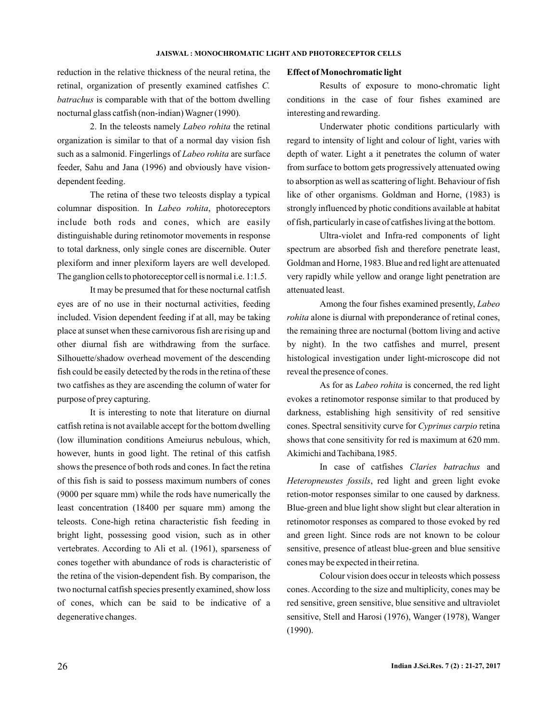reduction in the relative thickness of the neural retina, the retinal, organization of presently examined catfishes *C.* batrachus is comparable with that of the bottom dwelling nocturnal glass catfish (non-indian) Wagner (1990) *.*

2. In the teleosts namely *Labeo rohita* the retinal organization is similar to that of a normal day vision fish such as a salmonid. Fingerlings of Labeo rohita are surface feeder, Sahu and Jana (1996) and obviously have visiondependent feeding.

The retina of these two teleosts display a typical columnar disposition. In *Labeo rohita*, photoreceptors include both rods and cones, which are easily distinguishable during retinomotor movements in response to total darkness, only single cones are discernible. Outer plexiform and inner plexiform layers are well developed. The ganglion cells to photoreceptor cell is normal i.e. 1:1.5.

It may be presumed that for these nocturnal catfish eyes are of no use in their nocturnal activities, feeding included. Vision dependent feeding if at all, may be taking place at sunset when these carnivorous fish are rising up and other diurnal fish are withdrawing from the surface. Silhouette/shadow overhead movement of the descending fish could be easily detected by the rods in the retina of these two catfishes as they are ascending the column of water for purpose of prey capturing.

It is interesting to note that literature on diurnal catfish retina is not available accept for the bottom dwelling (low illumination conditions Ameiurus nebulous, which, however, hunts in good light. The retinal of this catfish shows the presence of both rods and cones. In fact the retina of this fish is said to possess maximum numbers of cones (9000 per square mm) while the rods have numerically the least concentration (18400 per square mm) among the teleosts. Cone-high retina characteristic fish feeding in bright light, possessing good vision, such as in other vertebrates. According to Ali et al. (1961), sparseness of cones together with abundance of rods is characteristic of the retina of the vision-dependent fish. By comparison, the two nocturnal catfish species presently examined, show loss of cones, which can be said to be indicative of a degenerative changes.

### **Effect of Monochromatic light**

Results of exposure to mono-chromatic light conditions in the case of four fishes examined are interesting and rewarding.

Underwater photic conditions particularly with regard to intensity of light and colour of light, varies with depth of water. Light a it penetrates the column of water from surface to bottom gets progressively attenuated owing to absorption as well as scattering of light. Behaviour of fish like of other organisms. Goldman and Horne, (1983) is strongly influenced by photic conditions available at habitat of fish, particularly in case of catfishes living at the bottom.

Ultra-violet and Infra-red components of light spectrum are absorbed fish and therefore penetrate least, Goldman and Horne, 1983. Blue and red light are attenuated very rapidly while yellow and orange light penetration are attenuated least.

Among the four fishes examined presently, *Labeo rohita* alone is diurnal with preponderance of retinal cones, the remaining three are nocturnal (bottom living and active by night). In the two catfishes and murrel, present histological investigation under light-microscope did not reveal the presence of cones.

As for as *Labeo rohita* is concerned, the red light evokes a retinomotor response similar to that produced by darkness, establishing high sensitivity of red sensitive cones. Spectral sensitivity curve for Cyprinus carpio retina shows that cone sensitivity for red is maximum at 620 mm. Akimichi and Tachibana, 1985.

In case of catfishes Claries batrachus and Heteropneustes fossils, red light and green light evoke retion-motor responses similar to one caused by darkness. Blue-green and blue light show slight but clear alteration in retinomotor responses as compared to those evoked by red and green light. Since rods are not known to be colour sensitive, presence of atleast blue-green and blue sensitive cones may be expected in their retina.

Colour vision does occur in teleosts which possess cones. According to the size and multiplicity, cones may be red sensitive, green sensitive, blue sensitive and ultraviolet sensitive, Stell and Harosi (1976), Wanger (1978), Wanger (1990).